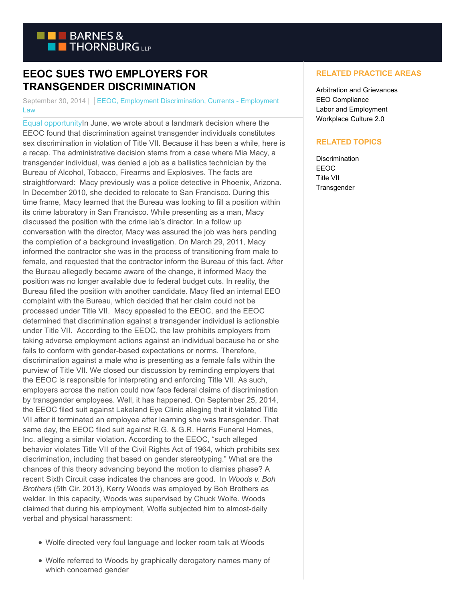

## **EEOC SUES TWO EMPLOYERS FOR TRANSGENDER DISCRIMINATION**

September 30, 2014 | EEOC, Employment Discrimination, Currents - Employment Law

[Equal opportunityIn](https://www.btcurrentsemployment.com/wp-content/uploads/2014/09/Currentsequalityimage.jpg) June, we wrote about a landmark decision where the EEOC found that discrimination against transgender individuals constitutes sex discrimination in violation of Title VII. Because it has been a while, here is a recap. The administrative decision stems from a case where Mia Macy, a transgender individual, was denied a job as a ballistics technician by the Bureau of Alcohol, Tobacco, Firearms and Explosives. The facts are straightforward: Macy previously was a police detective in Phoenix, Arizona. In December 2010, she decided to relocate to San Francisco. During this time frame, Macy learned that the Bureau was looking to fill a position within its crime laboratory in San Francisco. While presenting as a man, Macy discussed the position with the crime lab's director. In a follow up conversation with the director, Macy was assured the job was hers pending the completion of a background investigation. On March 29, 2011, Macy informed the contractor she was in the process of transitioning from male to female, and requested that the contractor inform the Bureau of this fact. After the Bureau allegedly became aware of the change, it informed Macy the position was no longer available due to federal budget cuts. In reality, the Bureau filled the position with another candidate. Macy filed an internal EEO complaint with the Bureau, which decided that her claim could not be processed under Title VII. Macy appealed to the EEOC, and the EEOC determined that discrimination against a transgender individual is actionable under Title VII. According to the EEOC, the law prohibits employers from taking adverse employment actions against an individual because he or she fails to conform with gender-based expectations or norms. Therefore, discrimination against a male who is presenting as a female falls within the purview of Title VII. We closed our discussion by reminding employers that the EEOC is responsible for interpreting and enforcing Title VII. As such, employers across the nation could now face federal claims of discrimination by transgender employees. Well, it has happened. On September 25, 2014, the EEOC filed suit against Lakeland Eye Clinic alleging that it violated Title VII after it terminated an employee after learning she was transgender. That same day, the EEOC filed suit against R.G. & G.R. Harris Funeral Homes, Inc. alleging a similar violation. According to the EEOC, "such alleged behavior violates Title VII of the Civil Rights Act of 1964, which prohibits sex discrimination, including that based on gender stereotyping." What are the chances of this theory advancing beyond the motion to dismiss phase? A recent Sixth Circuit case indicates the chances are good. In *Woods v. Boh Brothers* (5th Cir. 2013), Kerry Woods was employed by Boh Brothers as welder. In this capacity, Woods was supervised by Chuck Wolfe. Woods claimed that during his employment, Wolfe subjected him to almost-daily verbal and physical harassment:

- Wolfe directed very foul language and locker room talk at Woods
- Wolfe referred to Woods by graphically derogatory names many of which concerned gender

## **RELATED PRACTICE AREAS**

Arbitration and Grievances EEO Compliance Labor and Employment Workplace Culture 2.0

## **RELATED TOPICS**

**Discrimination** EEOC Title VII **Transgender**